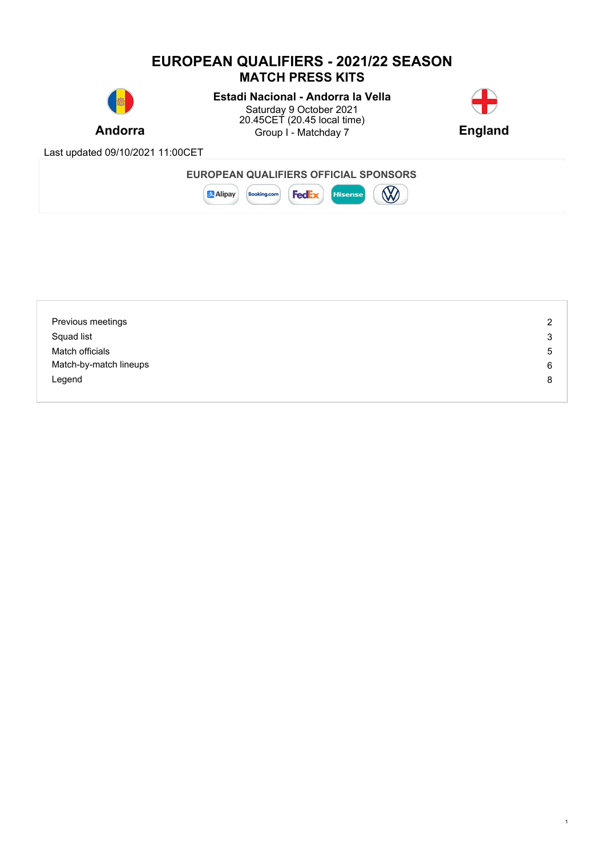# **EUROPEAN QUALIFIERS - 2021/22 SEASON MATCH PRESS KITS**



**Estadi Nacional - Andorra la Vella**

**Andorra England Group I** - Matchday 7 **England** Saturday 9 October 2021 **1999 - 1999 - 1999 - 1999 - 1999 - 1999 - 1999 - 1999 - 1999 - 1999 - 1999 - 1999 - 199** 20.45CET (20.45 local time)



1

Last updated 09/10/2021 11:00CET



| Previous meetings      | 2 |
|------------------------|---|
| Squad list             | 3 |
| Match officials        | 5 |
| Match-by-match lineups | 6 |
| Legend                 | 8 |
|                        |   |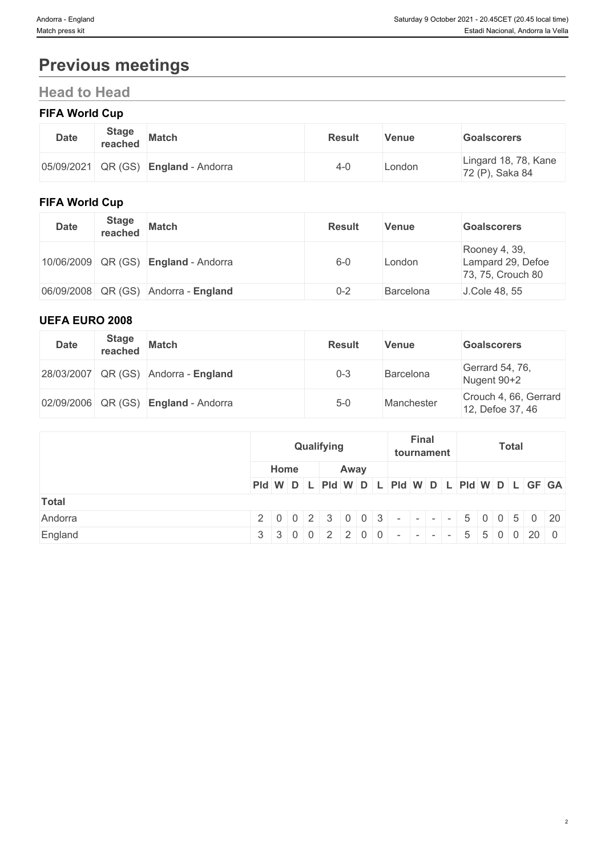# **Previous meetings**

# **Head to Head**

### **FIFA World Cup**

| <b>Date</b> | <b>Stage</b><br>reached | <b>Match</b>                                | Result | Venue  | Goalscorers                             |
|-------------|-------------------------|---------------------------------------------|--------|--------|-----------------------------------------|
|             |                         | 05/09/2021 QR (GS) <b>England</b> - Andorra | 4-0    | ∟ondon | Lingard 18, 78, Kane<br>72 (P), Saka 84 |

### **FIFA World Cup**

| <b>Date</b> | <b>Stage</b><br>reached | <b>Match</b>                                | <b>Result</b> | <b>Venue</b> | <b>Goalscorers</b>                                      |
|-------------|-------------------------|---------------------------------------------|---------------|--------------|---------------------------------------------------------|
|             |                         | 10/06/2009 QR (GS) <b>England</b> - Andorra | $6-0$         | London       | Rooney 4, 39,<br>Lampard 29, Defoe<br>73, 75, Crouch 80 |
|             |                         | 06/09/2008 QR (GS) Andorra - England        | $0 - 2$       | Barcelona    | J.Cole 48, 55                                           |

#### **UEFA EURO 2008**

| <b>Date</b> | <b>Stage</b><br>reached | <b>Match</b>                                | <b>Result</b> | Venue      | <b>Goalscorers</b>                        |
|-------------|-------------------------|---------------------------------------------|---------------|------------|-------------------------------------------|
|             |                         | 28/03/2007 QR (GS) Andorra - England        | $0 - 3$       | Barcelona  | Gerrard 54, 76,<br>Nugent 90+2            |
|             |                         | 02/09/2006 QR (GS) <b>England</b> - Andorra | $5 - 0$       | Manchester | Crouch 4, 66, Gerrard<br>12, Defoe 37, 46 |

|              |                                                                                |      | Qualifying |  |  |      |  |  | <b>Final</b><br>tournament |  |  |  |  | <b>Total</b> |  |  |  |  |  |
|--------------|--------------------------------------------------------------------------------|------|------------|--|--|------|--|--|----------------------------|--|--|--|--|--------------|--|--|--|--|--|
|              |                                                                                | Home |            |  |  | Away |  |  |                            |  |  |  |  |              |  |  |  |  |  |
|              | PId W D L PId W D L PId W D L PId W D L GF GA                                  |      |            |  |  |      |  |  |                            |  |  |  |  |              |  |  |  |  |  |
| <b>Total</b> |                                                                                |      |            |  |  |      |  |  |                            |  |  |  |  |              |  |  |  |  |  |
| Andorra      | 2 0 0 2 3 0 0 3 - - - - 5 0 0 5 0 20                                           |      |            |  |  |      |  |  |                            |  |  |  |  |              |  |  |  |  |  |
| England      | $3 \ 3 \ 0 \ 0 \ 2 \ 2 \ 0 \ 0 \ - \ - \ - \ - \ 5 \ 5 \ 0 \ 0 \ 0 \ 20 \ 0 \$ |      |            |  |  |      |  |  |                            |  |  |  |  |              |  |  |  |  |  |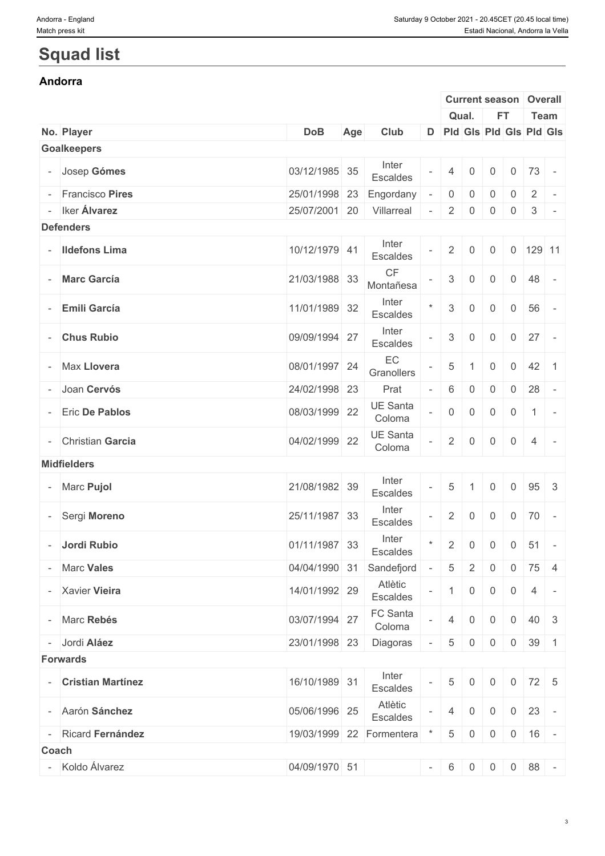# **Squad list**

### **Andorra**

|                       |               |     |                                     |                          |                | <b>Current season</b> |                  |                | Overall                          |  |
|-----------------------|---------------|-----|-------------------------------------|--------------------------|----------------|-----------------------|------------------|----------------|----------------------------------|--|
|                       |               |     |                                     |                          |                | Qual.                 | <b>FT</b>        |                | Team                             |  |
| No. Player            | <b>DoB</b>    | Age | Club                                |                          |                |                       |                  |                | D Pld Gls Pld Gls Pld Gls        |  |
| Goalkeepers           |               |     |                                     |                          |                |                       |                  |                |                                  |  |
| - Josep Gómes         | 03/12/1985 35 |     | Inter<br>Escaldes                   |                          |                |                       | 0                | 0              | 73<br>$\sim$                     |  |
| - Francisco Pires     | 25/01/1998 23 |     | Engordany                           |                          | $\overline{0}$ | $\overline{0}$        | $\overline{0}$   | 0              | $\overline{2}$<br>$\sim$         |  |
| - Iker Álvarez        | 25/07/2001 20 |     | Villarreal                          | $\overline{\phantom{a}}$ | $\overline{2}$ | $\overline{0}$        | 0                | $\overline{0}$ | $\mathbf{3}$<br>$\sim$           |  |
| <b>Defenders</b>      |               |     |                                     |                          |                |                       |                  |                |                                  |  |
| - Ildefons Lima       | 10/12/1979 41 |     | Inter<br>Escaldes                   |                          | 2              | $\mathbf 0$           | $\overline{0}$   |                | $0$ 129 11                       |  |
| - Marc García         | 21/03/1988 33 |     | $\mathsf{C}\mathsf{F}$<br>Montañesa |                          | $\mathbf{3}$   | $\overline{0}$        | $\mathbf 0$      | $\mathbf 0$    | 48                               |  |
| <b>Emili García</b>   | 11/01/1989 32 |     | Inter<br>Escaldes                   |                          | $\mathsf 3$    | $\mathbf 0$           | $\boldsymbol{0}$ | $\mathbf 0$    | 56                               |  |
| - Chus Rubio          | 09/09/1994 27 |     | Inter<br>Escaldes                   |                          | $\mathbf{3}$   | $\overline{0}$        | $\mathbf 0$      | $\overline{0}$ | 27<br>$\sim$                     |  |
| - Max Llovera         | 08/01/1997 24 |     | EC<br>Granollers                    |                          | 5              |                       | $\mathbf 0$      | $\mathbf 0$    | 42<br>$\overline{1}$             |  |
| - Joan Cervós         | 24/02/1998 23 |     | Prat                                |                          | 6              | $\overline{0}$        | $\mathbf 0$      | $\overline{0}$ | 28<br>$\overline{\phantom{a}}$   |  |
| <b>Eric De Pablos</b> | 08/03/1999 22 |     | UE Santa<br>Coloma                  | $\overline{\phantom{a}}$ | $\overline{0}$ | $\overline{0}$        | $\overline{0}$   | $\overline{0}$ | $\overline{1}$<br>$\overline{a}$ |  |
| - Christian Garcia    | 04/02/1999 22 |     | UE Santa<br>Coloma                  |                          | $\overline{2}$ | $\overline{0}$        | $\overline{0}$   | $\overline{0}$ | $\overline{4}$<br>$\mathbf{r}$   |  |
| <b>Midfielders</b>    |               |     |                                     |                          |                |                       |                  |                |                                  |  |
| - Marc Pujol          | 21/08/1982 39 |     | Inter<br>Escaldes                   |                          | 5              |                       | $\mathbf 0$      | $\mathbf 0$    | 95 3                             |  |
| - Sergi Moreno        | 25/11/1987 33 |     | Inter<br>Escaldes                   |                          | $\overline{2}$ | $\overline{0}$        | $\overline{0}$   | $\overline{0}$ | $70 -$                           |  |
| - Jordi Rubio         | 01/11/1987 33 |     | Inter<br>Escaldes                   |                          | $\overline{2}$ | 0                     | $\overline{0}$   | $\overline{0}$ | 51<br>$\overline{\phantom{a}}$   |  |
| - Marc Vales          | 04/04/1990 31 |     | Sandefjord                          |                          | 5 <sup>5</sup> | $\overline{2}$        | $\overline{0}$   |                | $0 \mid 75 \mid 4$               |  |
| - Xavier Vieira       | 14/01/1992 29 |     | Atlètic<br>Escaldes                 | $\overline{\phantom{a}}$ | $\overline{1}$ | $\overline{0}$        | $\overline{0}$   | $\overline{0}$ | $\overline{4}$<br>$\sim$         |  |
| - Marc Rebés          | 03/07/1994 27 |     | FC Santa<br>Coloma                  |                          | $\overline{4}$ | $\overline{0}$        | $\overline{0}$   |                | $0 \mid 40 \mid 3$               |  |
| - Jordi Aláez         | 23/01/1998 23 |     | Diagoras                            |                          | $5 \mid 0$     |                       | $\overline{0}$   |                | $0 \mid 39 \mid 1$               |  |
| <b>Forwards</b>       |               |     |                                     |                          |                |                       |                  |                |                                  |  |
| - Cristian Martínez   | 16/10/1989 31 |     | Inter<br>Escaldes                   |                          | 5              | $\overline{0}$        | $\overline{0}$   |                | $0 \mid 72 \mid 5$               |  |
| - Aarón Sánchez       | 05/06/1996 25 |     | Atlètic<br>Escaldes                 |                          | $\overline{4}$ | $\overline{0}$        | $\overline{0}$   |                | $0 \mid 23 \mid -$               |  |
| - Ricard Fernández    |               |     | 19/03/1999 22 Formentera            |                          | 5 <sup>5</sup> | $\overline{0}$        | $\overline{0}$   |                | $0 \mid 16 \mid -$               |  |
| Coach                 |               |     |                                     |                          |                |                       |                  |                |                                  |  |
| - Koldo Álvarez       | 04/09/1970 51 |     |                                     |                          |                |                       |                  |                | $- 6 0 0 0 88 -$                 |  |
|                       |               |     |                                     |                          |                |                       |                  |                |                                  |  |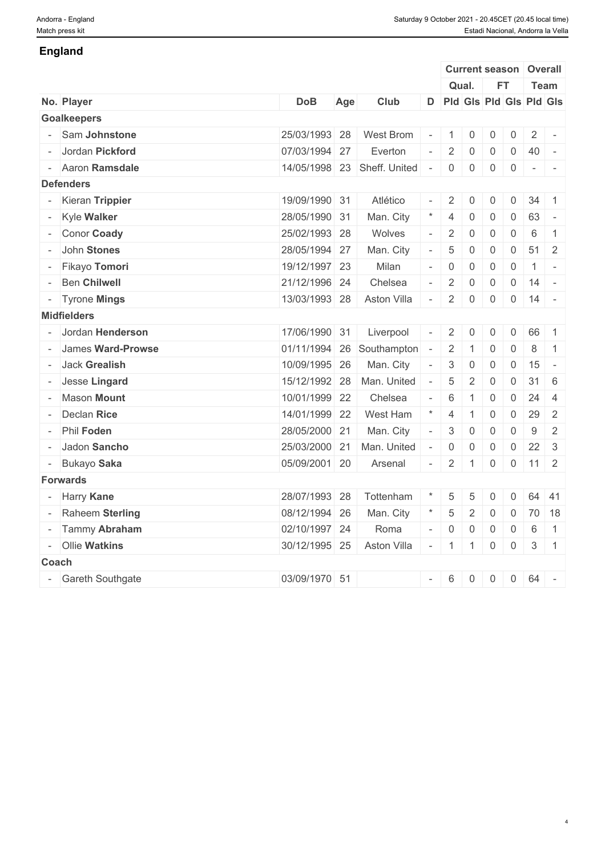4

#### **England**

|       |                     |               |     |                               |                          |                |                | <b>Current season Overall</b> |                    |                |                          |
|-------|---------------------|---------------|-----|-------------------------------|--------------------------|----------------|----------------|-------------------------------|--------------------|----------------|--------------------------|
|       |                     |               |     |                               |                          |                | Qual.          | <b>FT</b>                     |                    | <b>Team</b>    |                          |
|       | No. Player          | <b>DoB</b>    | Age | Club                          |                          |                |                | D Pld Gis Pld Gis Pld Gis     |                    |                |                          |
|       | <b>Goalkeepers</b>  |               |     |                               |                          |                |                |                               |                    |                |                          |
|       | - Sam Johnstone     | 25/03/1993 28 |     | West Brom                     | $\equiv$                 | $\overline{1}$ | $\overline{0}$ | $\mathbf 0$                   | $\mathbf 0$        | $\overline{2}$ | $\overline{a}$           |
|       | - Jordan Pickford   | 07/03/1994 27 |     | Everton                       | $\overline{\phantom{a}}$ | $\overline{2}$ | $\overline{0}$ | $\mathbf 0$                   | $\overline{0}$     | 40             | $\sim$ $-$               |
|       | - Aaron Ramsdale    |               |     | 14/05/1998 23 Sheff. United - |                          | $\overline{0}$ | $\overline{0}$ | $\mathbf 0$                   | $\overline{0}$     | $\sim$         | $\mathbf{r}$             |
|       | <b>Defenders</b>    |               |     |                               |                          |                |                |                               |                    |                |                          |
|       | - Kieran Trippier   | 19/09/1990 31 |     | Atlético                      | $\bar{a}$                | 2              | $\Omega$       | $\mathbf 0$                   | $\mathbf 0$        | 34             | $\sqrt{1}$               |
|       | - Kyle Walker       | 28/05/1990 31 |     | Man. City                     | $\star$                  | $\overline{4}$ | $\mathbf{0}$   | $\mathbf 0$                   | $\mathbf 0$        | 63             | $\sim$                   |
|       | - Conor Coady       | 25/02/1993 28 |     | Wolves                        | $\sim$                   | 2              | $\overline{0}$ | $\mathbf 0$                   | $\mathbf 0$        | 6              | $\overline{1}$           |
|       | - John Stones       | 28/05/1994 27 |     | Man. City                     | $\sim$                   | 5              | $\Omega$       | $\mathbf 0$                   | $\mathbf 0$        | 51             | $\vert$ 2                |
|       | - Fikayo Tomori     | 19/12/1997 23 |     | Milan                         | $\overline{\phantom{0}}$ | $\overline{0}$ | $\Omega$       | $\mathbf 0$                   | 0                  | -1             | $\sim$ $-$               |
|       | - Ben Chilwell      | 21/12/1996 24 |     | Chelsea                       | $\overline{\phantom{a}}$ | 2              | $\overline{0}$ | $\mathbf 0$                   | $\overline{0}$     | 14             | $\sim$ $-$               |
|       | - Tyrone Mings      | 13/03/1993 28 |     | Aston Villa                   | $\sim$                   | $\overline{2}$ | $\overline{0}$ | $\mathbf 0$                   | $\mathbf 0$        | 14             | $\sim$                   |
|       | <b>Midfielders</b>  |               |     |                               |                          |                |                |                               |                    |                |                          |
|       | - Jordan Henderson  | 17/06/1990 31 |     | Liverpool                     |                          | $\overline{2}$ | $\overline{0}$ | $\mathbf 0$                   | $\mathbf 0$        | 66             | $\vert$ 1                |
|       | - James Ward-Prowse |               |     | 01/11/1994 26 Southampton -   |                          | $\overline{2}$ | $\overline{1}$ | $\mathbf 0$                   | 0                  | 8              | $\overline{1}$           |
|       | - Jack Grealish     | 10/09/1995 26 |     | Man. City                     | $\overline{\phantom{a}}$ | 3              | $\overline{0}$ | $\mathbf 0$                   | $\mathbf 0$        | 15             | $\overline{\phantom{a}}$ |
|       | - Jesse Lingard     | 15/12/1992 28 |     | Man. United                   | $\equiv$                 | 5              | 2              | $\mathbf 0$                   | $\mathbf 0$        | 31             | 6                        |
|       | - Mason Mount       | 10/01/1999 22 |     | Chelsea                       |                          | 6              |                | $\mathbf 0$                   | $\mathbf 0$        | 24             | $\overline{4}$           |
|       | - Declan Rice       | 14/01/1999 22 |     | West Ham                      | $\ast$                   | $\overline{4}$ | -1             | $\mathbf 0$                   | $\overline{0}$     | 29             | 2                        |
|       | - Phil Foden        | 28/05/2000 21 |     | Man. City                     |                          | 3              | $\overline{0}$ | $\mathbf 0$                   | $\mathbf 0$        | 9              | 2                        |
|       | - Jadon Sancho      | 25/03/2000 21 |     | Man. United                   |                          | $\overline{0}$ | $\overline{0}$ | $\mathbf 0$                   | $\mathbf 0$        | $22 \quad 3$   |                          |
|       | - Bukayo Saka       | 05/09/2001 20 |     | Arsenal                       | $\sim$                   | $\overline{2}$ | $\overline{1}$ | $\overline{0}$                | $0 \mid 11 \mid 2$ |                |                          |
|       | Forwards            |               |     |                               |                          |                |                |                               |                    |                |                          |
|       | - Harry Kane        | 28/07/1993 28 |     | Tottenham                     |                          | 5              |                | $\Omega$                      | $\Omega$           | 64 41          |                          |
|       | - Raheem Sterling   | 08/12/1994 26 |     | Man. City                     |                          | $\overline{5}$ | 2              | $\mathbf 0$                   | $\overline{0}$     | 70 18          |                          |
|       | - Tammy Abraham     | 02/10/1997 24 |     | Roma                          | $\sim 10$                | $\overline{0}$ | $\overline{0}$ | $\mathbf 0$                   | $\overline{0}$     | 6              | $\vert$ 1                |
|       | - Ollie Watkins     | 30/12/1995 25 |     | Aston Villa                   |                          | $-11$          | $\overline{1}$ | $\overline{0}$                | $\overline{0}$     | $\mathbf{3}$   | $\vert$ 1                |
| Coach |                     |               |     |                               |                          |                |                |                               |                    |                |                          |
|       | - Gareth Southgate  | 03/09/1970 51 |     |                               |                          | $-$ 6          | $\overline{0}$ | 0                             | $\mathbf 0$        | 64             | $\sim$                   |
|       |                     |               |     |                               |                          |                |                |                               |                    |                |                          |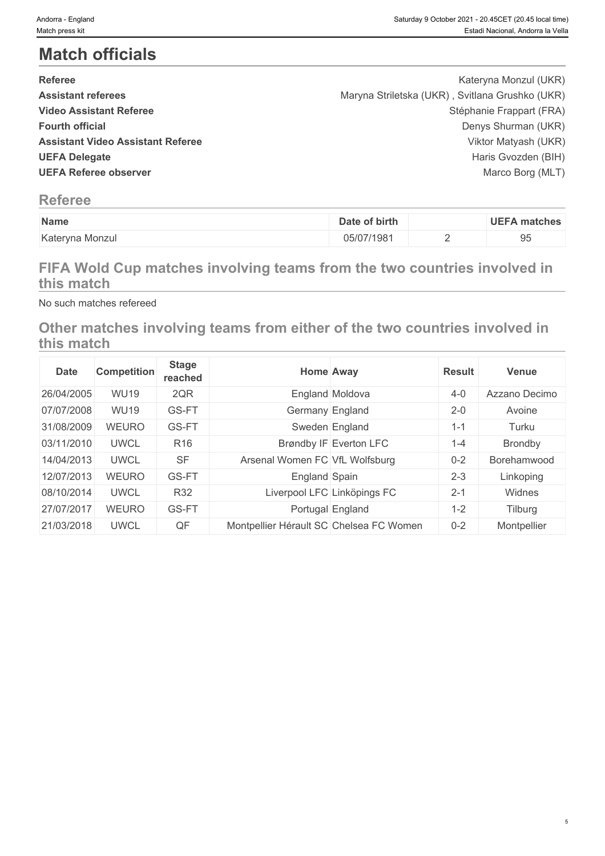5

# **Match officials**

| <b>Referee</b>                           | Kateryna Monzul (UKR)                           |  |
|------------------------------------------|-------------------------------------------------|--|
| <b>Assistant referees</b>                | Maryna Striletska (UKR), Svitlana Grushko (UKR) |  |
| <b>Video Assistant Referee</b>           | Stéphanie Frappart (FRA)                        |  |
| <b>Fourth official</b>                   | Denys Shurman (UKR)                             |  |
| <b>Assistant Video Assistant Referee</b> | Viktor Matyash (UKR)                            |  |
| <b>UEFA Delegate</b>                     | Haris Gvozden (BIH)                             |  |
| <b>UEFA Referee observer</b>             | Marco Borg (MLT)                                |  |
|                                          |                                                 |  |

# **Referee**

| Name            | of birth<br>Date | UEEZ<br>. matches |
|-----------------|------------------|-------------------|
| Kateryna Monzul | 5/07/1981        | чr                |
|                 |                  | ಀಀ                |

# **FIFA Wold Cup matches involving teams from the two countries involved in this match**

No such matches refereed

# **Other matches involving teams from either of the two countries involved in this match**

| <b>Date</b> | <b>Competition</b> | <b>Stage</b><br>reached | <b>Home Away</b>                        |         | <b>Result</b> | <b>Venue</b>   |
|-------------|--------------------|-------------------------|-----------------------------------------|---------|---------------|----------------|
| 26/04/2005  | <b>WU19</b>        | 2QR                     | England Moldova                         | $4 - 0$ |               | Azzano Decimo  |
| 07/07/2008  | <b>WU19</b>        | GS-FT                   | Germany England                         |         | $2 - 0$       | Avoine         |
| 31/08/2009  | <b>WEURO</b>       | GS-FT                   | Sweden England                          |         | $1 - 1$       | Turku          |
| 03/11/2010  | <b>UWCL</b>        | R <sub>16</sub>         | Brøndby IF Everton LFC                  |         | $1 - 4$       | <b>Brondby</b> |
| 14/04/2013  | <b>UWCL</b>        | <b>SF</b>               | Arsenal Women FC VfL Wolfsburg          | $0 - 2$ |               | Borehamwood    |
| 12/07/2013  | <b>WEURO</b>       | GS-FT                   | England Spain                           |         | $2 - 3$       | Linkoping      |
| 08/10/2014  | <b>UWCL</b>        | R32                     | Liverpool LFC Linköpings FC             | $2 - 1$ |               | Widnes         |
| 27/07/2017  | <b>WEURO</b>       | GS-FT                   | Portugal England                        |         | $1 - 2$       | Tilburg        |
| 21/03/2018  | <b>UWCL</b>        | QF                      | Montpellier Hérault SC Chelsea FC Women | $0 - 2$ |               | Montpellier    |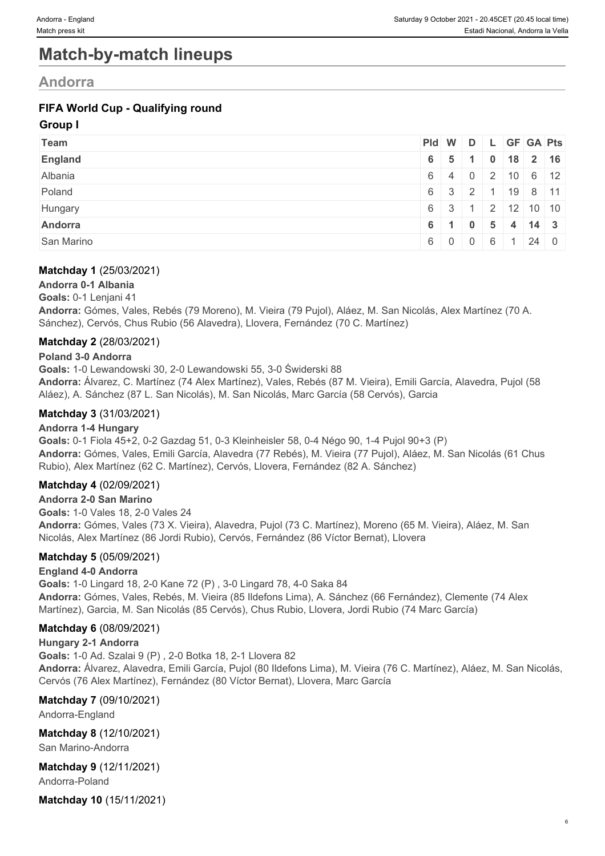6

# **Match-by-match lineups**

# **Andorra**

### **FIFA World Cup - Qualifying round**

#### **Group I**

| Team           | Pid W D L GF GA Pts |                          |                |     |                              |                             |
|----------------|---------------------|--------------------------|----------------|-----|------------------------------|-----------------------------|
| <b>England</b> |                     |                          |                |     |                              | $6$ 5 1 0 18 2 16           |
| Albania        |                     |                          |                |     |                              | 6   4   0   2   10   6   12 |
| Poland         |                     | $6 \mid 3 \mid 2 \mid 1$ |                |     |                              | $19$ 8 11                   |
| Hungary        |                     | 6 3 1                    |                |     |                              | 2   12   10   10            |
| Andorra        | 6 1                 |                          | $\overline{0}$ | 5 4 | $14 \overline{\phantom{0}}3$ |                             |
| San Marino     |                     | 600                      |                | 6   | $24 \mid 0$                  |                             |

#### **Matchday 1** (25/03/2021)

**Andorra 0-1 Albania Goals:** 0-1 Lenjani 41 **Andorra:** Gómes, Vales, Rebés (79 Moreno), M. Vieira (79 Pujol), Aláez, M. San Nicolás, Alex Martínez (70 A. Sánchez), Cervós, Chus Rubio (56 Alavedra), Llovera, Fernández (70 C. Martínez)

#### **Matchday 2** (28/03/2021)

#### **Poland 3-0 Andorra**

**Goals:** 1-0 Lewandowski 30, 2-0 Lewandowski 55, 3-0 Świderski 88 **Andorra:** Álvarez, C. Martínez (74 Alex Martínez), Vales, Rebés (87 M. Vieira), Emili García, Alavedra, Pujol (58 Aláez), A. Sánchez (87 L. San Nicolás), M. San Nicolás, Marc García (58 Cervós), Garcia

#### **Matchday 3** (31/03/2021)

#### **Andorra 1-4 Hungary**

**Goals:** 0-1 Fiola 45+2, 0-2 Gazdag 51, 0-3 Kleinheisler 58, 0-4 Négo 90, 1-4 Pujol 90+3 (P) **Andorra:** Gómes, Vales, Emili García, Alavedra (77 Rebés), M. Vieira (77 Pujol), Aláez, M. San Nicolás (61 Chus Rubio), Alex Martínez (62 C. Martínez), Cervós, Llovera, Fernández (82 A. Sánchez)

#### **Matchday 4** (02/09/2021)

**Andorra 2-0 San Marino Goals:** 1-0 Vales 18, 2-0 Vales 24 **Andorra:** Gómes, Vales (73 X. Vieira), Alavedra, Pujol (73 C. Martínez), Moreno (65 M. Vieira), Aláez, M. San Nicolás, Alex Martínez (86 Jordi Rubio), Cervós, Fernández (86 Víctor Bernat), Llovera

#### **Matchday 5** (05/09/2021)

#### **England 4-0 Andorra**

**Goals:** 1-0 Lingard 18, 2-0 Kane 72 (P) , 3-0 Lingard 78, 4-0 Saka 84 **Andorra:** Gómes, Vales, Rebés, M. Vieira (85 Ildefons Lima), A. Sánchez (66 Fernández), Clemente (74 Alex Martínez), Garcia, M. San Nicolás (85 Cervós), Chus Rubio, Llovera, Jordi Rubio (74 Marc García)

#### **Matchday 6** (08/09/2021)

#### **Hungary 2-1 Andorra**

**Goals:** 1-0 Ad. Szalai 9 (P) , 2-0 Botka 18, 2-1 Llovera 82 **Andorra:** Álvarez, Alavedra, Emili García, Pujol (80 Ildefons Lima), M. Vieira (76 C. Martínez), Aláez, M. San Nicolás, Cervós (76 Alex Martínez), Fernández (80 Víctor Bernat), Llovera, Marc García

#### **Matchday 7** (09/10/2021)

Andorra-England

#### **Matchday 8** (12/10/2021) San Marino-Andorra

# **Matchday 9** (12/11/2021)

Andorra-Poland

**Matchday 10** (15/11/2021)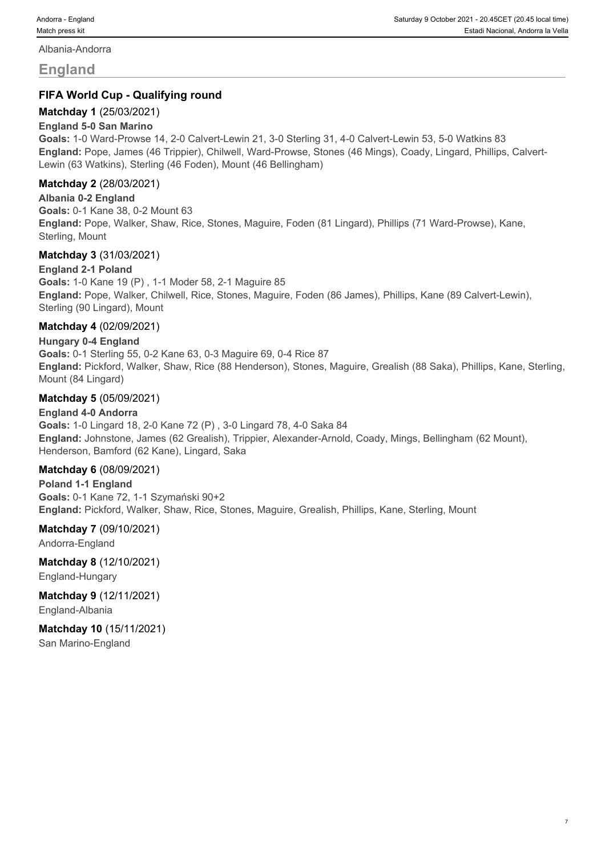#### Albania-Andorra

### **England**

#### **FIFA World Cup - Qualifying round**

#### **Matchday 1** (25/03/2021)

#### **England 5-0 San Marino**

**Goals:** 1-0 Ward-Prowse 14, 2-0 Calvert-Lewin 21, 3-0 Sterling 31, 4-0 Calvert-Lewin 53, 5-0 Watkins 83 **England:** Pope, James (46 Trippier), Chilwell, Ward-Prowse, Stones (46 Mings), Coady, Lingard, Phillips, Calvert-Lewin (63 Watkins), Sterling (46 Foden), Mount (46 Bellingham)

#### **Matchday 2** (28/03/2021)

**Albania 0-2 England Goals:** 0-1 Kane 38, 0-2 Mount 63 **England:** Pope, Walker, Shaw, Rice, Stones, Maguire, Foden (81 Lingard), Phillips (71 Ward-Prowse), Kane, Sterling, Mount

#### **Matchday 3** (31/03/2021)

**England 2-1 Poland Goals:** 1-0 Kane 19 (P) , 1-1 Moder 58, 2-1 Maguire 85 **England:** Pope, Walker, Chilwell, Rice, Stones, Maguire, Foden (86 James), Phillips, Kane (89 Calvert-Lewin), Sterling (90 Lingard), Mount

#### **Matchday 4** (02/09/2021)

**Hungary 0-4 England Goals:** 0-1 Sterling 55, 0-2 Kane 63, 0-3 Maguire 69, 0-4 Rice 87 **England:** Pickford, Walker, Shaw, Rice (88 Henderson), Stones, Maguire, Grealish (88 Saka), Phillips, Kane, Sterling, Mount (84 Lingard)

#### **Matchday 5** (05/09/2021)

#### **England 4-0 Andorra Goals:** 1-0 Lingard 18, 2-0 Kane 72 (P) , 3-0 Lingard 78, 4-0 Saka 84 **England:** Johnstone, James (62 Grealish), Trippier, Alexander-Arnold, Coady, Mings, Bellingham (62 Mount), Henderson, Bamford (62 Kane), Lingard, Saka

#### **Matchday 6** (08/09/2021)

**Poland 1-1 England Goals:** 0-1 Kane 72, 1-1 Szymański 90+2 **England:** Pickford, Walker, Shaw, Rice, Stones, Maguire, Grealish, Phillips, Kane, Sterling, Mount

**Matchday 7** (09/10/2021)

Andorra-England

**Matchday 8** (12/10/2021) England-Hungary

**Matchday 9** (12/11/2021) England-Albania

**Matchday 10** (15/11/2021) San Marino-England

Andorra - England Saturday 9 October 2021 - 20.45CET (20.45 local time) Match press kit **Estadi Nacional, Andorra la Vella** estadi Nacional, Andorra la Vella

7